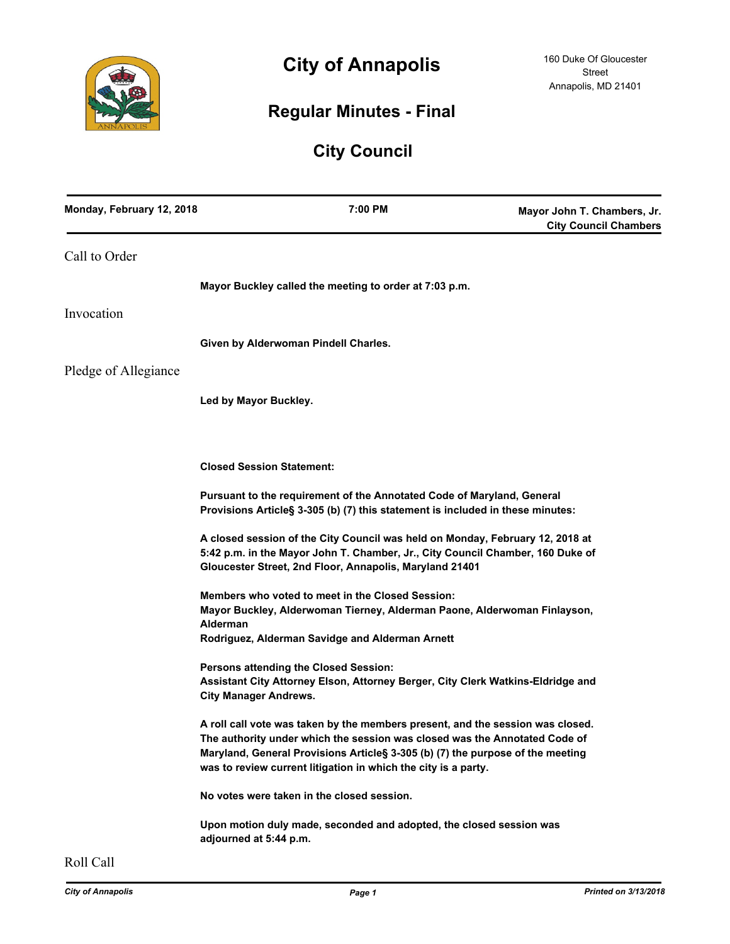

# **City of Annapolis**

# **Regular Minutes - Final**

# **City Council**

| Monday, February 12, 2018 | 7:00 PM                                                                                                                                                                                                                                                                                                          | Mayor John T. Chambers, Jr.<br><b>City Council Chambers</b> |
|---------------------------|------------------------------------------------------------------------------------------------------------------------------------------------------------------------------------------------------------------------------------------------------------------------------------------------------------------|-------------------------------------------------------------|
| Call to Order             |                                                                                                                                                                                                                                                                                                                  |                                                             |
|                           | Mayor Buckley called the meeting to order at 7:03 p.m.                                                                                                                                                                                                                                                           |                                                             |
| Invocation                |                                                                                                                                                                                                                                                                                                                  |                                                             |
|                           | Given by Alderwoman Pindell Charles.                                                                                                                                                                                                                                                                             |                                                             |
| Pledge of Allegiance      |                                                                                                                                                                                                                                                                                                                  |                                                             |
|                           | Led by Mayor Buckley.                                                                                                                                                                                                                                                                                            |                                                             |
|                           | <b>Closed Session Statement:</b>                                                                                                                                                                                                                                                                                 |                                                             |
|                           | Pursuant to the requirement of the Annotated Code of Maryland, General<br>Provisions Article§ 3-305 (b) (7) this statement is included in these minutes:                                                                                                                                                         |                                                             |
|                           | A closed session of the City Council was held on Monday, February 12, 2018 at<br>5:42 p.m. in the Mayor John T. Chamber, Jr., City Council Chamber, 160 Duke of<br>Gloucester Street, 2nd Floor, Annapolis, Maryland 21401                                                                                       |                                                             |
|                           | Members who voted to meet in the Closed Session:<br>Mayor Buckley, Alderwoman Tierney, Alderman Paone, Alderwoman Finlayson,<br>Alderman<br>Rodriguez, Alderman Savidge and Alderman Arnett                                                                                                                      |                                                             |
|                           | Persons attending the Closed Session:<br>Assistant City Attorney Elson, Attorney Berger, City Clerk Watkins-Eldridge and<br><b>City Manager Andrews.</b>                                                                                                                                                         |                                                             |
|                           | A roll call vote was taken by the members present, and the session was closed.<br>The authority under which the session was closed was the Annotated Code of<br>Maryland, General Provisions Article§ 3-305 (b) (7) the purpose of the meeting<br>was to review current litigation in which the city is a party. |                                                             |
|                           | No votes were taken in the closed session.                                                                                                                                                                                                                                                                       |                                                             |
|                           | Upon motion duly made, seconded and adopted, the closed session was<br>adjourned at 5:44 p.m.                                                                                                                                                                                                                    |                                                             |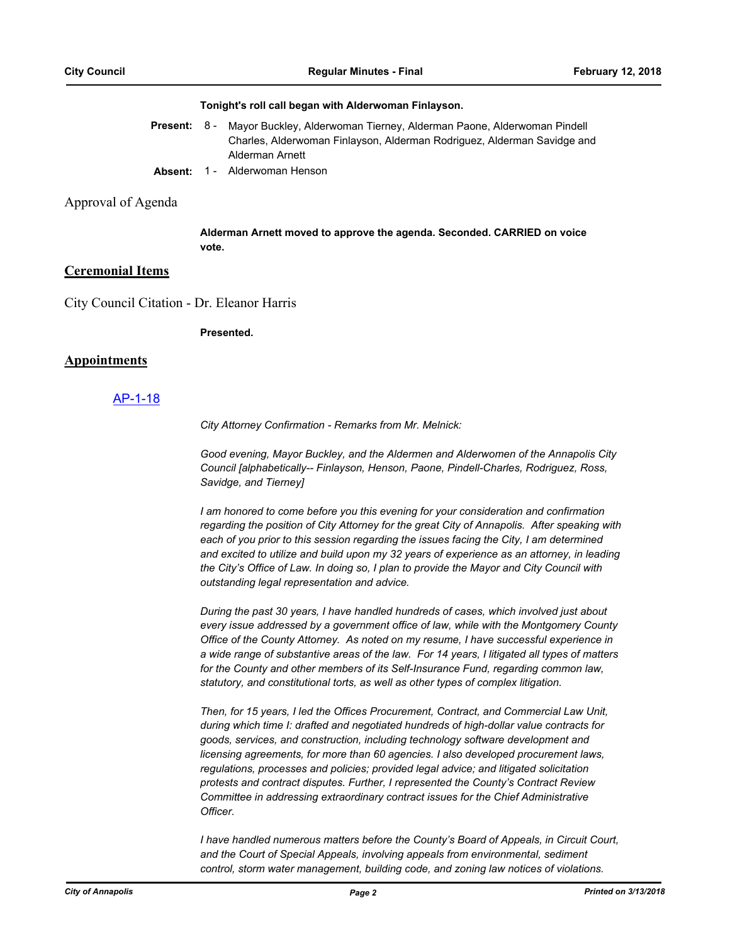#### **Tonight's roll call began with Alderwoman Finlayson.**

| Present: 8 - | Mayor Buckley, Alderwoman Tierney, Alderman Paone, Alderwoman Pindell   |  |  |
|--------------|-------------------------------------------------------------------------|--|--|
|              | Charles, Alderwoman Finlayson, Alderman Rodriguez, Alderman Savidge and |  |  |
|              | Alderman Arnett                                                         |  |  |
|              |                                                                         |  |  |

**Absent:** 1 - Alderwoman Henson

### Approval of Agenda

**Alderman Arnett moved to approve the agenda. Seconded. CARRIED on voice vote.**

### **Ceremonial Items**

City Council Citation - Dr. Eleanor Harris

**Presented.**

## **Appointments**

## [AP-1-18](http://annapolismd.legistar.com/gateway.aspx?m=l&id=/matter.aspx?key=3523)

*City Attorney Confirmation - Remarks from Mr. Melnick:*

*Good evening, Mayor Buckley, and the Aldermen and Alderwomen of the Annapolis City Council [alphabetically-- Finlayson, Henson, Paone, Pindell-Charles, Rodriguez, Ross, Savidge, and Tierney]*

*I* am honored to come before you this evening for your consideration and confirmation *regarding the position of City Attorney for the great City of Annapolis. After speaking with each of you prior to this session regarding the issues facing the City, I am determined and excited to utilize and build upon my 32 years of experience as an attorney, in leading the City's Office of Law. In doing so, I plan to provide the Mayor and City Council with outstanding legal representation and advice.* 

*During the past 30 years, I have handled hundreds of cases, which involved just about every issue addressed by a government office of law, while with the Montgomery County Office of the County Attorney. As noted on my resume, I have successful experience in a wide range of substantive areas of the law. For 14 years, I litigated all types of matters for the County and other members of its Self-Insurance Fund, regarding common law, statutory, and constitutional torts, as well as other types of complex litigation.* 

*Then, for 15 years, I led the Offices Procurement, Contract, and Commercial Law Unit, during which time I: drafted and negotiated hundreds of high-dollar value contracts for goods, services, and construction, including technology software development and licensing agreements, for more than 60 agencies. I also developed procurement laws, regulations, processes and policies; provided legal advice; and litigated solicitation protests and contract disputes. Further, I represented the County's Contract Review Committee in addressing extraordinary contract issues for the Chief Administrative Officer.* 

*I have handled numerous matters before the County's Board of Appeals, in Circuit Court, and the Court of Special Appeals, involving appeals from environmental, sediment control, storm water management, building code, and zoning law notices of violations.*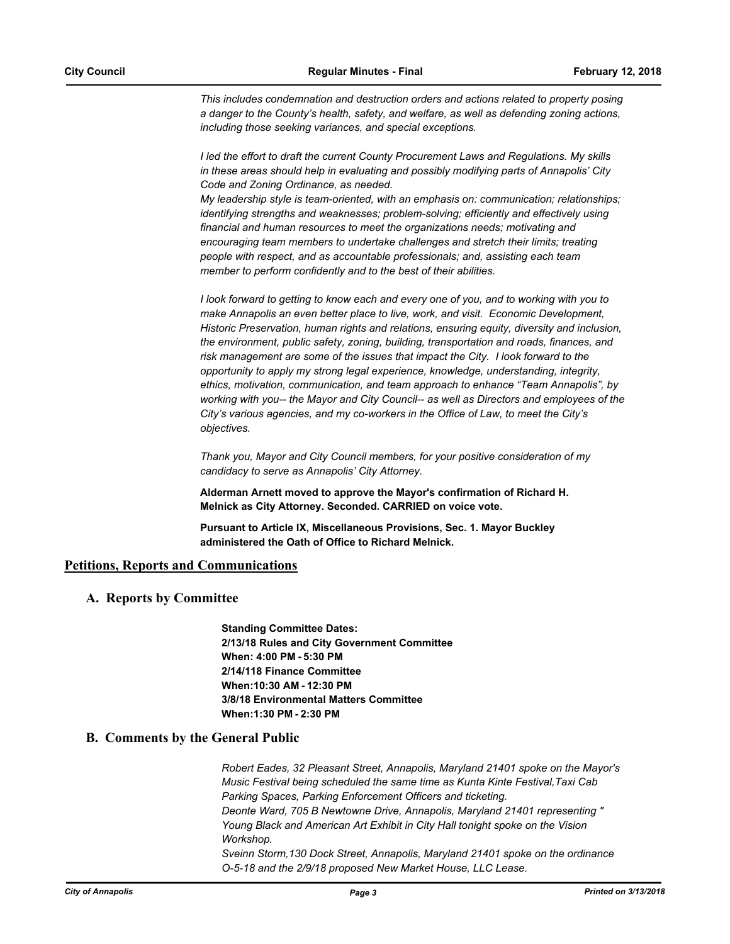*This includes condemnation and destruction orders and actions related to property posing a danger to the County's health, safety, and welfare, as well as defending zoning actions, including those seeking variances, and special exceptions.* 

*I led the effort to draft the current County Procurement Laws and Regulations. My skills in these areas should help in evaluating and possibly modifying parts of Annapolis' City Code and Zoning Ordinance, as needed.* 

*My leadership style is team-oriented, with an emphasis on: communication; relationships; identifying strengths and weaknesses; problem-solving; efficiently and effectively using financial and human resources to meet the organizations needs; motivating and encouraging team members to undertake challenges and stretch their limits; treating people with respect, and as accountable professionals; and, assisting each team member to perform confidently and to the best of their abilities.* 

*I look forward to getting to know each and every one of you, and to working with you to make Annapolis an even better place to live, work, and visit. Economic Development, Historic Preservation, human rights and relations, ensuring equity, diversity and inclusion, the environment, public safety, zoning, building, transportation and roads, finances, and risk management are some of the issues that impact the City. I look forward to the opportunity to apply my strong legal experience, knowledge, understanding, integrity, ethics, motivation, communication, and team approach to enhance "Team Annapolis", by working with you-- the Mayor and City Council-- as well as Directors and employees of the City's various agencies, and my co-workers in the Office of Law, to meet the City's objectives.* 

*Thank you, Mayor and City Council members, for your positive consideration of my candidacy to serve as Annapolis' City Attorney.*

**Alderman Arnett moved to approve the Mayor's confirmation of Richard H. Melnick as City Attorney. Seconded. CARRIED on voice vote.**

**Pursuant to Article IX, Miscellaneous Provisions, Sec. 1. Mayor Buckley administered the Oath of Office to Richard Melnick.**

## **Petitions, Reports and Communications**

## **A. Reports by Committee**

**Standing Committee Dates: 2/13/18 Rules and City Government Committee When: 4:00 PM - 5:30 PM 2/14/118 Finance Committee When:10:30 AM - 12:30 PM 3/8/18 Environmental Matters Committee When:1:30 PM - 2:30 PM**

## **B. Comments by the General Public**

*Robert Eades, 32 Pleasant Street, Annapolis, Maryland 21401 spoke on the Mayor's Music Festival being scheduled the same time as Kunta Kinte Festival,Taxi Cab Parking Spaces, Parking Enforcement Officers and ticketing. Deonte Ward, 705 B Newtowne Drive, Annapolis, Maryland 21401 representing " Young Black and American Art Exhibit in City Hall tonight spoke on the Vision Workshop. Sveinn Storm,130 Dock Street, Annapolis, Maryland 21401 spoke on the ordinance O-5-18 and the 2/9/18 proposed New Market House, LLC Lease.*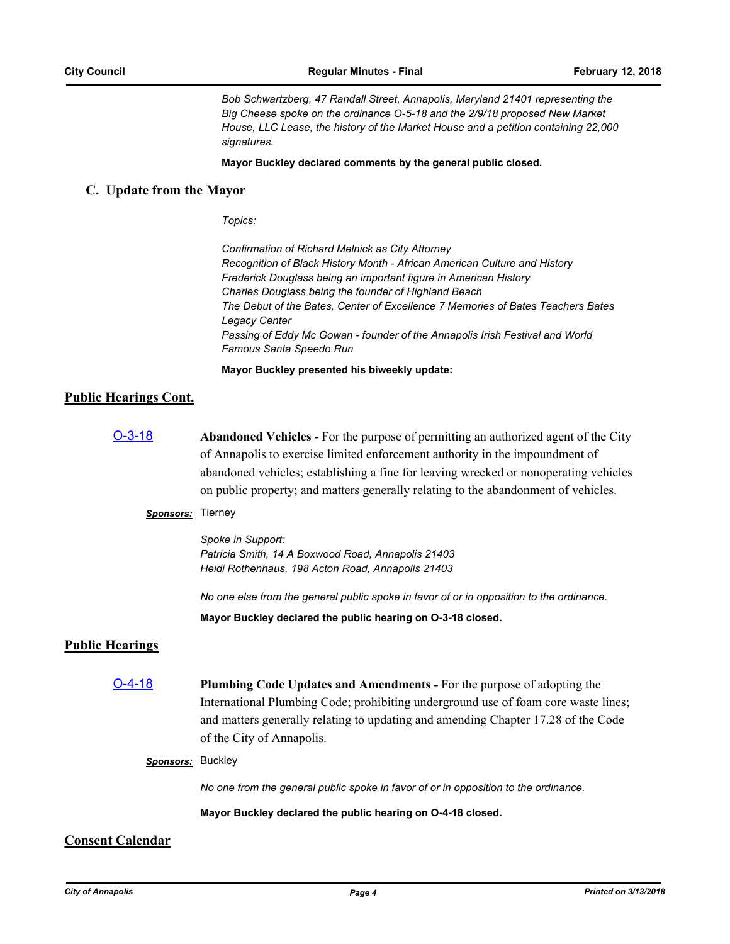*Bob Schwartzberg, 47 Randall Street, Annapolis, Maryland 21401 representing the Big Cheese spoke on the ordinance O-5-18 and the 2/9/18 proposed New Market House, LLC Lease, the history of the Market House and a petition containing 22,000 signatures.*

#### **Mayor Buckley declared comments by the general public closed.**

### **C. Update from the Mayor**

*Topics:*

*Confirmation of Richard Melnick as City Attorney Recognition of Black History Month - African American Culture and History Frederick Douglass being an important figure in American History Charles Douglass being the founder of Highland Beach The Debut of the Bates, Center of Excellence 7 Memories of Bates Teachers Bates Legacy Center Passing of Eddy Mc Gowan - founder of the Annapolis Irish Festival and World Famous Santa Speedo Run*

**Mayor Buckley presented his biweekly update:**

### **Public Hearings Cont.**

[O-3-18](http://annapolismd.legistar.com/gateway.aspx?m=l&id=/matter.aspx?key=3447) **Abandoned Vehicles -** For the purpose of permitting an authorized agent of the City of Annapolis to exercise limited enforcement authority in the impoundment of abandoned vehicles; establishing a fine for leaving wrecked or nonoperating vehicles on public property; and matters generally relating to the abandonment of vehicles.

## *Sponsors:* Tierney

*Spoke in Support: Patricia Smith, 14 A Boxwood Road, Annapolis 21403 Heidi Rothenhaus, 198 Acton Road, Annapolis 21403*

*No one else from the general public spoke in favor of or in opposition to the ordinance.*

**Mayor Buckley declared the public hearing on O-3-18 closed.**

## **Public Hearings**

[O-4-18](http://annapolismd.legistar.com/gateway.aspx?m=l&id=/matter.aspx?key=3456) **Plumbing Code Updates and Amendments -** For the purpose of adopting the International Plumbing Code; prohibiting underground use of foam core waste lines; and matters generally relating to updating and amending Chapter 17.28 of the Code of the City of Annapolis.

#### *Sponsors:* Buckley

*No one from the general public spoke in favor of or in opposition to the ordinance.*

**Mayor Buckley declared the public hearing on O-4-18 closed.**

## **Consent Calendar**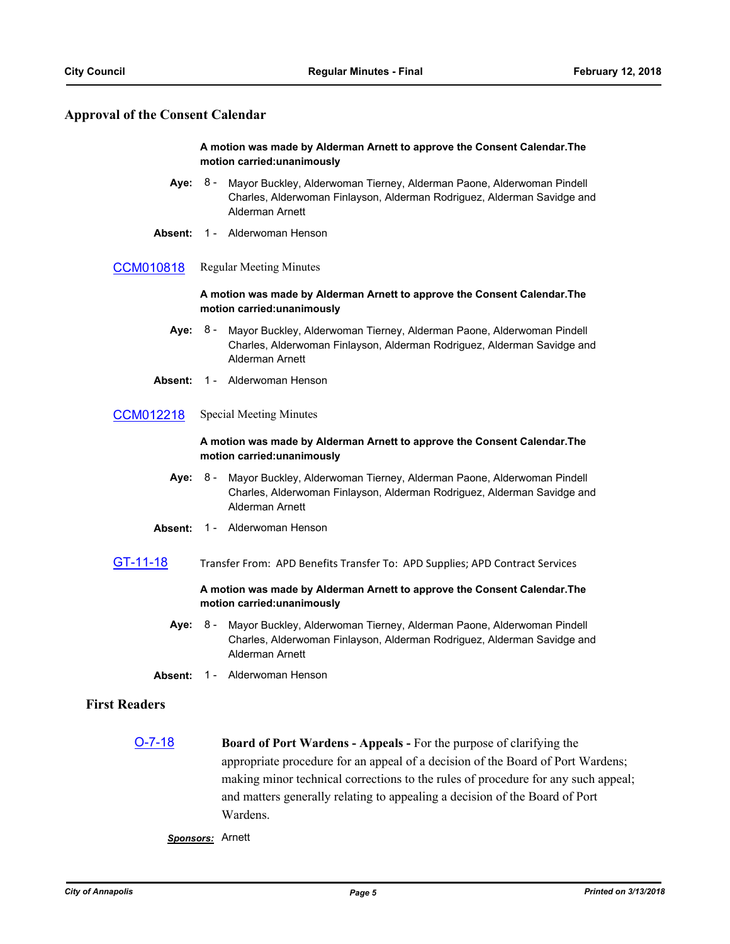## **Approval of the Consent Calendar**

### **A motion was made by Alderman Arnett to approve the Consent Calendar.The motion carried:unanimously**

- Aye: 8 Mayor Buckley, Alderwoman Tierney, Alderman Paone, Alderwoman Pindell Charles, Alderwoman Finlayson, Alderman Rodriguez, Alderman Savidge and Alderman Arnett
- **Absent:** 1 Alderwoman Henson
- [CCM010818](http://annapolismd.legistar.com/gateway.aspx?m=l&id=/matter.aspx?key=3509) Regular Meeting Minutes

### **A motion was made by Alderman Arnett to approve the Consent Calendar.The motion carried:unanimously**

- **Aye:** Mayor Buckley, Alderwoman Tierney, Alderman Paone, Alderwoman Pindell Charles, Alderwoman Finlayson, Alderman Rodriguez, Alderman Savidge and Alderman Arnett Aye: 8 -
- **Absent:** 1 Alderwoman Henson
- [CCM012218](http://annapolismd.legistar.com/gateway.aspx?m=l&id=/matter.aspx?key=3510) Special Meeting Minutes

#### **A motion was made by Alderman Arnett to approve the Consent Calendar.The motion carried:unanimously**

- **Aye:** Mayor Buckley, Alderwoman Tierney, Alderman Paone, Alderwoman Pindell Charles, Alderwoman Finlayson, Alderman Rodriguez, Alderman Savidge and Alderman Arnett Aye: 8 -
- **Absent:** 1 Alderwoman Henson
- [GT-11-18](http://annapolismd.legistar.com/gateway.aspx?m=l&id=/matter.aspx?key=3479) Transfer From: APD Benefits Transfer To: APD Supplies; APD Contract Services

### **A motion was made by Alderman Arnett to approve the Consent Calendar.The motion carried:unanimously**

- **Aye:** Mayor Buckley, Alderwoman Tierney, Alderman Paone, Alderwoman Pindell Charles, Alderwoman Finlayson, Alderman Rodriguez, Alderman Savidge and Alderman Arnett Aye: 8 -
- **Absent:** 1 Alderwoman Henson

## **First Readers**

[O-7-18](http://annapolismd.legistar.com/gateway.aspx?m=l&id=/matter.aspx?key=3507) **Board of Port Wardens - Appeals -** For the purpose of clarifying the appropriate procedure for an appeal of a decision of the Board of Port Wardens; making minor technical corrections to the rules of procedure for any such appeal; and matters generally relating to appealing a decision of the Board of Port Wardens.

*Sponsors:* Arnett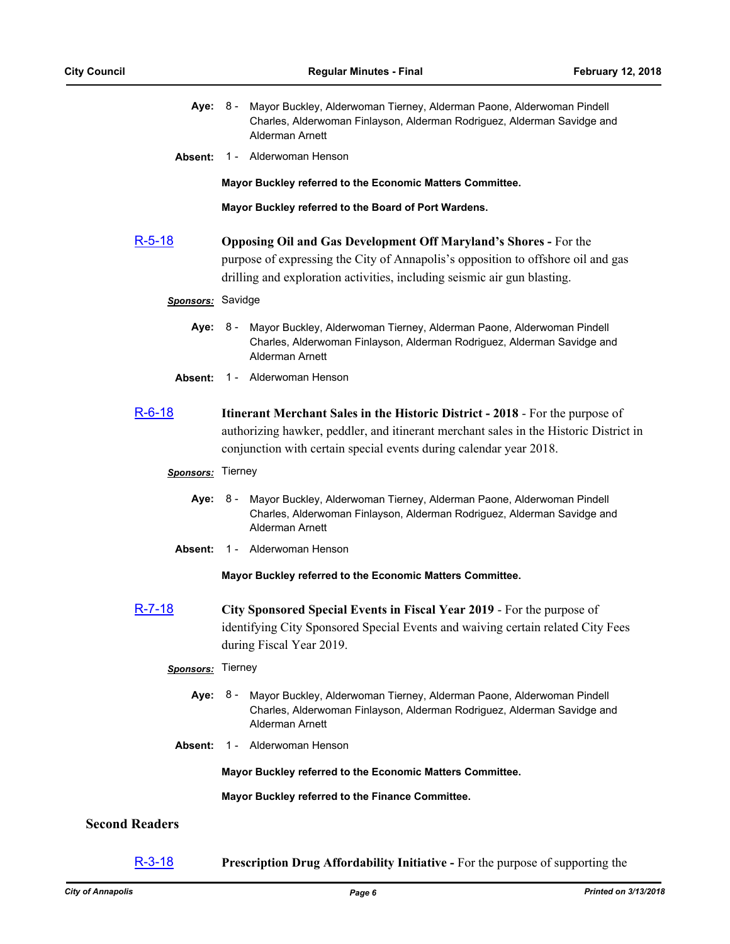|  | Aye: 8 - Mayor Buckley, Alderwoman Tierney, Alderman Paone, Alderwoman Pindell             |
|--|--------------------------------------------------------------------------------------------|
|  | Charles, Alderwoman Finlayson, Alderman Rodriguez, Alderman Savidge and<br>Alderman Arnett |

**Absent:** 1 - Alderwoman Henson

**Mayor Buckley referred to the Economic Matters Committee.**

**Mayor Buckley referred to the Board of Port Wardens.**

[R-5-18](http://annapolismd.legistar.com/gateway.aspx?m=l&id=/matter.aspx?key=3489) **Opposing Oil and Gas Development Off Maryland's Shores -** For the purpose of expressing the City of Annapolis's opposition to offshore oil and gas drilling and exploration activities, including seismic air gun blasting.

#### *Sponsors:* Savidge

- **Aye:** Mayor Buckley, Alderwoman Tierney, Alderman Paone, Alderwoman Pindell Charles, Alderwoman Finlayson, Alderman Rodriguez, Alderman Savidge and Alderman Arnett Aye: 8 -
- **Absent:** 1 Alderwoman Henson
- [R-6-18](http://annapolismd.legistar.com/gateway.aspx?m=l&id=/matter.aspx?key=3497) **Itinerant Merchant Sales in the Historic District 2018**  For the purpose of authorizing hawker, peddler, and itinerant merchant sales in the Historic District in conjunction with certain special events during calendar year 2018.

#### *Sponsors:* Tierney

- **Aye:** Mayor Buckley, Alderwoman Tierney, Alderman Paone, Alderwoman Pindell Charles, Alderwoman Finlayson, Alderman Rodriguez, Alderman Savidge and Alderman Arnett Aye: 8 -
- **Absent:** 1 Alderwoman Henson

**Mayor Buckley referred to the Economic Matters Committee.**

[R-7-18](http://annapolismd.legistar.com/gateway.aspx?m=l&id=/matter.aspx?key=3498) **City Sponsored Special Events in Fiscal Year 2019** - For the purpose of identifying City Sponsored Special Events and waiving certain related City Fees during Fiscal Year 2019.

#### *Sponsors:* Tierney

- **Aye:** Mayor Buckley, Alderwoman Tierney, Alderman Paone, Alderwoman Pindell Charles, Alderwoman Finlayson, Alderman Rodriguez, Alderman Savidge and Alderman Arnett Aye: 8 -
- **Absent:** 1 Alderwoman Henson

**Mayor Buckley referred to the Economic Matters Committee.**

**Mayor Buckley referred to the Finance Committee.**

#### **Second Readers**

[R-3-18](http://annapolismd.legistar.com/gateway.aspx?m=l&id=/matter.aspx?key=3474) **Prescription Drug Affordability Initiative -** For the purpose of supporting the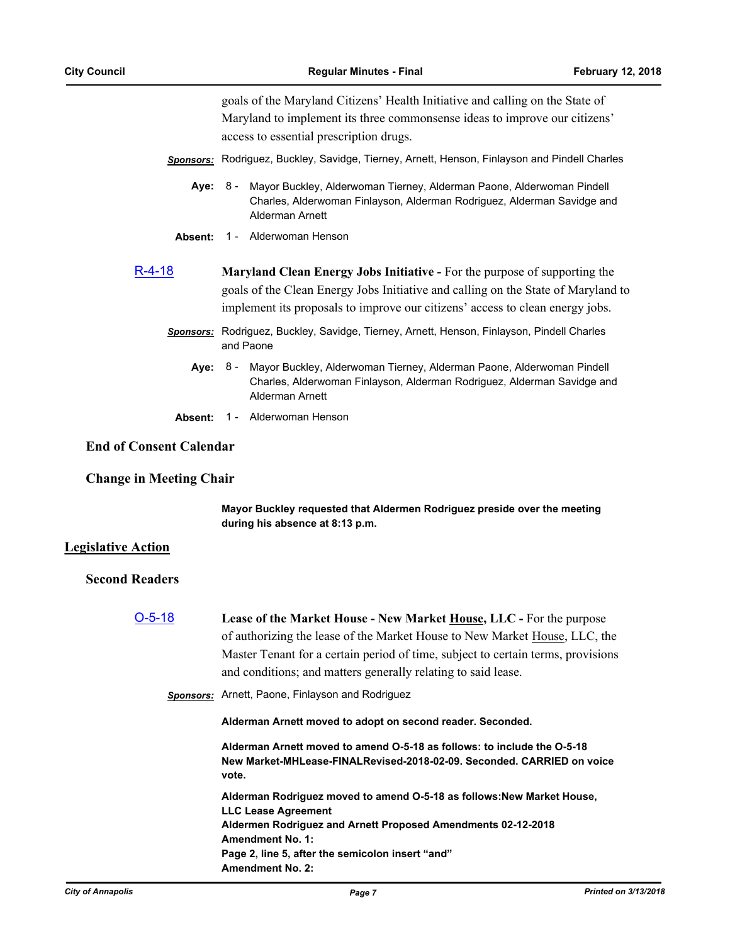goals of the Maryland Citizens' Health Initiative and calling on the State of Maryland to implement its three commonsense ideas to improve our citizens' access to essential prescription drugs.

- *Sponsors:* Rodriguez, Buckley, Savidge, Tierney, Arnett, Henson, Finlayson and Pindell Charles
	- **Aye:** Mayor Buckley, Alderwoman Tierney, Alderman Paone, Alderwoman Pindell Charles, Alderwoman Finlayson, Alderman Rodriguez, Alderman Savidge and Alderman Arnett Ave: 8 -
	- **Absent:** 1 Alderwoman Henson
- [R-4-18](http://annapolismd.legistar.com/gateway.aspx?m=l&id=/matter.aspx?key=3475) **Maryland Clean Energy Jobs Initiative** For the purpose of supporting the goals of the Clean Energy Jobs Initiative and calling on the State of Maryland to implement its proposals to improve our citizens' access to clean energy jobs.
	- *Sponsors:* Rodriguez, Buckley, Savidge, Tierney, Arnett, Henson, Finlayson, Pindell Charles and Paone
		- **Aye:** Mayor Buckley, Alderwoman Tierney, Alderman Paone, Alderwoman Pindell Charles, Alderwoman Finlayson, Alderman Rodriguez, Alderman Savidge and Alderman Arnett Aye: 8 -
		- **Absent:** 1 Alderwoman Henson

## **End of Consent Calendar**

## **Change in Meeting Chair**

**Mayor Buckley requested that Aldermen Rodriguez preside over the meeting during his absence at 8:13 p.m.**

## **Legislative Action**

## **Second Readers**

| $O-5-18$ | Lease of the Market House - New Market House, LLC - For the purpose                                                                                        |  |  |
|----------|------------------------------------------------------------------------------------------------------------------------------------------------------------|--|--|
|          | of authorizing the lease of the Market House to New Market House, LLC, the                                                                                 |  |  |
|          | Master Tenant for a certain period of time, subject to certain terms, provisions                                                                           |  |  |
|          | and conditions; and matters generally relating to said lease.                                                                                              |  |  |
|          | Sponsors: Arnett, Paone, Finlayson and Rodriguez                                                                                                           |  |  |
|          | Alderman Arnett moved to adopt on second reader. Seconded.                                                                                                 |  |  |
|          | Alderman Arnett moved to amend O-5-18 as follows: to include the O-5-18<br>New Market-MHLease-FINALRevised-2018-02-09. Seconded. CARRIED on voice<br>vote. |  |  |
|          | Alderman Rodriguez moved to amend O-5-18 as follows: New Market House,<br><b>LLC Lease Agreement</b>                                                       |  |  |
|          | Aldermen Rodriguez and Arnett Proposed Amendments 02-12-2018                                                                                               |  |  |
|          | <b>Amendment No. 1:</b>                                                                                                                                    |  |  |
|          | Page 2, line 5, after the semicolon insert "and"                                                                                                           |  |  |
|          | <b>Amendment No. 2:</b>                                                                                                                                    |  |  |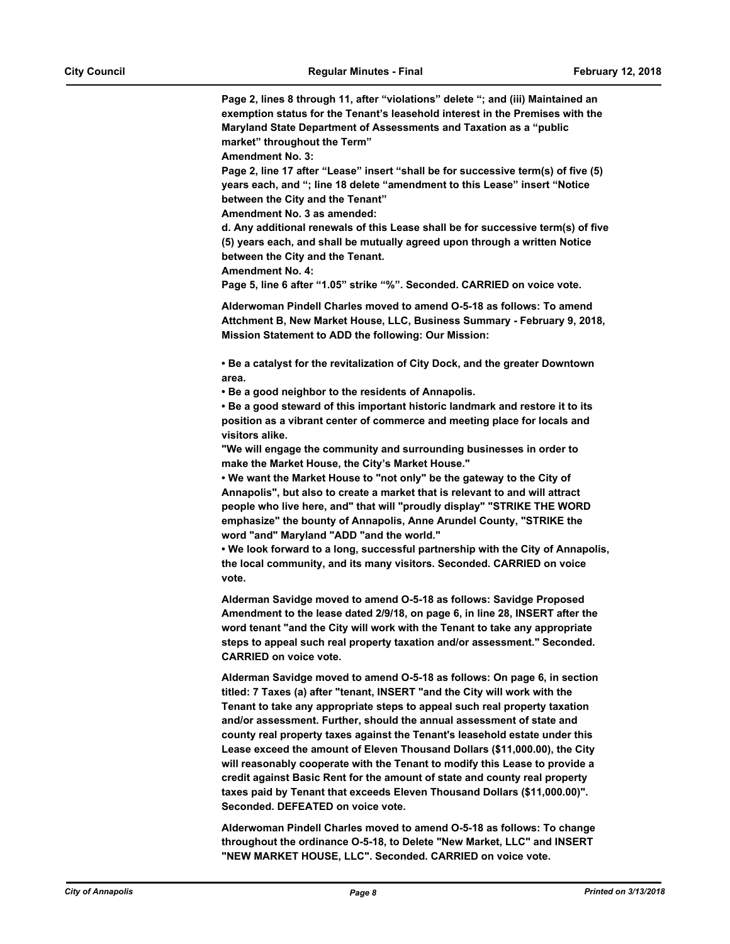**Page 2, lines 8 through 11, after "violations" delete "; and (iii) Maintained an exemption status for the Tenant's leasehold interest in the Premises with the Maryland State Department of Assessments and Taxation as a "public market" throughout the Term"**

**Amendment No. 3:**

**Page 2, line 17 after "Lease" insert "shall be for successive term(s) of five (5) years each, and "; line 18 delete "amendment to this Lease" insert "Notice between the City and the Tenant"**

**Amendment No. 3 as amended:**

**d. Any additional renewals of this Lease shall be for successive term(s) of five (5) years each, and shall be mutually agreed upon through a written Notice between the City and the Tenant.**

**Amendment No. 4:**

**Page 5, line 6 after "1.05" strike "%". Seconded. CARRIED on voice vote.**

**Alderwoman Pindell Charles moved to amend O-5-18 as follows: To amend Attchment B, New Market House, LLC, Business Summary - February 9, 2018, Mission Statement to ADD the following: Our Mission:**

**• Be a catalyst for the revitalization of City Dock, and the greater Downtown area.**

**• Be a good neighbor to the residents of Annapolis.**

**• Be a good steward of this important historic landmark and restore it to its position as a vibrant center of commerce and meeting place for locals and visitors alike.**

**"We will engage the community and surrounding businesses in order to make the Market House, the City's Market House."**

**• We want the Market House to "not only" be the gateway to the City of Annapolis", but also to create a market that is relevant to and will attract people who live here, and" that will "proudly display" "STRIKE THE WORD emphasize" the bounty of Annapolis, Anne Arundel County, "STRIKE the word "and" Maryland "ADD "and the world."**

**• We look forward to a long, successful partnership with the City of Annapolis, the local community, and its many visitors. Seconded. CARRIED on voice vote.**

**Alderman Savidge moved to amend O-5-18 as follows: Savidge Proposed Amendment to the lease dated 2/9/18, on page 6, in line 28, INSERT after the word tenant "and the City will work with the Tenant to take any appropriate steps to appeal such real property taxation and/or assessment." Seconded. CARRIED on voice vote.**

**Alderman Savidge moved to amend O-5-18 as follows: On page 6, in section titled: 7 Taxes (a) after "tenant, INSERT "and the City will work with the Tenant to take any appropriate steps to appeal such real property taxation and/or assessment. Further, should the annual assessment of state and county real property taxes against the Tenant's leasehold estate under this Lease exceed the amount of Eleven Thousand Dollars (\$11,000.00), the City will reasonably cooperate with the Tenant to modify this Lease to provide a credit against Basic Rent for the amount of state and county real property taxes paid by Tenant that exceeds Eleven Thousand Dollars (\$11,000.00)". Seconded. DEFEATED on voice vote.**

**Alderwoman Pindell Charles moved to amend O-5-18 as follows: To change throughout the ordinance O-5-18, to Delete "New Market, LLC" and INSERT "NEW MARKET HOUSE, LLC". Seconded. CARRIED on voice vote.**